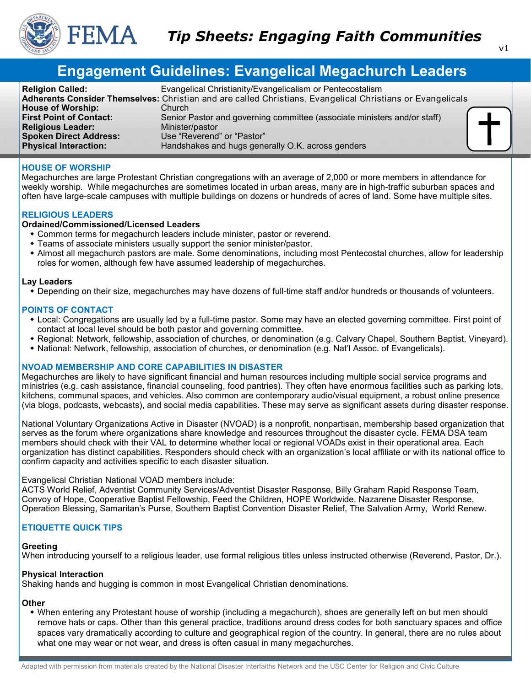

# **Engagement Guidelines: Evangelical Megachurch Leaders**

| <b>Religion Called:</b>        | Evangelical Christianity/Evangelicalism or Pentecostalism                                                  |  |
|--------------------------------|------------------------------------------------------------------------------------------------------------|--|
|                                | Adherents Consider Themselves: Christian and are called Christians, Evangelical Christians or Evangelicals |  |
| <b>House of Worship:</b>       | Church                                                                                                     |  |
| <b>First Point of Contact:</b> | Senior Pastor and governing committee (associate ministers and/or staff)                                   |  |
| <b>Religious Leader:</b>       | Minister/pastor                                                                                            |  |
| <b>Spoken Direct Address:</b>  | Use "Reverend" or "Pastor"                                                                                 |  |
| <b>Physical Interaction:</b>   | Handshakes and hugs generally O.K. across genders                                                          |  |

## **HOUSE OF WORSHIP**

Megachurches are large Protestant Christian congregations with an average of 2,000 or more members in attendance for weekly worship. While megachurches are sometimes located in urban areas, many are in high-traffic suburban spaces and often have large-scale campuses with multiple buildings on dozens or hundreds of acres of land. Some have multiple sites.

## **RELIGIOUS LEADERS**

## **Ordained/Commissioned/Licensed Leaders**

- Common terms for megachurch leaders include minister, pastor or reverend.
- Teams of associate ministers usually support the senior minister/pastor.
- Almost all megachurch pastors are male. Some denominations, including most Pentecostal churches, allow for leadership roles for women, although few have assumed leadership of megachurches.

### **Lay Leaders**

Depending on their size, megachurches may have dozens of full-time staff and/or hundreds or thousands of volunteers.

## **POINTS OF CONTACT**

- Local: Congregations are usually led by a full-time pastor. Some may have an elected governing committee. First point of contact at local level should be both pastor and governing committee.
- Regional: Network, fellowship, association of churches, or denomination (e.g. Calvary Chapel, Southern Baptist, Vineyard).
- National: Network, fellowship, association of churches, or denomination (e.g. Nat'l Assoc. of Evangelicals).

# **NVOAD MEMBERSHIP AND CORE CAPABILITIES IN DISASTER**

Megachurches are likely to have significant financial and human resources including multiple social service programs and ministries (e.g. cash assistance, financial counseling, food pantries). They often have enormous facilities such as parking lots, kitchens, communal spaces, and vehicles. Also common are contemporary audio/visual equipment, a robust online presence (via blogs, podcasts, webcasts), and social media capabilities. These may serve as significant assets during disaster response.

National Voluntary Organizations Active in Disaster (NVOAD) is a nonprofit, nonpartisan, membership based organization that serves as the forum where organizations share knowledge and resources throughout the disaster cycle. FEMA DSA team members should check with their VAL to determine whether local or regional VOADs exist in their operational area. Each organization has distinct capabilities. Responders should check with an organization's local affiliate or with its national office to confirm capacity and activities specific to each disaster situation.

Evangelical Christian National VOAD members include:

ACTS World Relief, Adventist Community Services/Adventist Disaster Response, Billy Graham Rapid Response Team, Convoy of Hope, Cooperative Baptist Fellowship, Feed the Children, HOPE Worldwide, Nazarene Disaster Response, Operation Blessing, Samaritan's Purse, Southern Baptist Convention Disaster Relief, The Salvation Army, World Renew.

## **ETIQUETTE QUICK TIPS**

## **Greeting**

When introducing yourself to a religious leader, use formal religious titles unless instructed otherwise (Reverend, Pastor, Dr.).

## **Physical Interaction**

Shaking hands and hugging is common in most Evangelical Christian denominations.

# **Other**

 When entering any Protestant house of worship (including a megachurch), shoes are generally left on but men should remove hats or caps. Other than this general practice, traditions around dress codes for both sanctuary spaces and office spaces vary dramatically according to culture and geographical region of the country. In general, there are no rules about what one may wear or not wear, and dress is often casual in many megachurches.